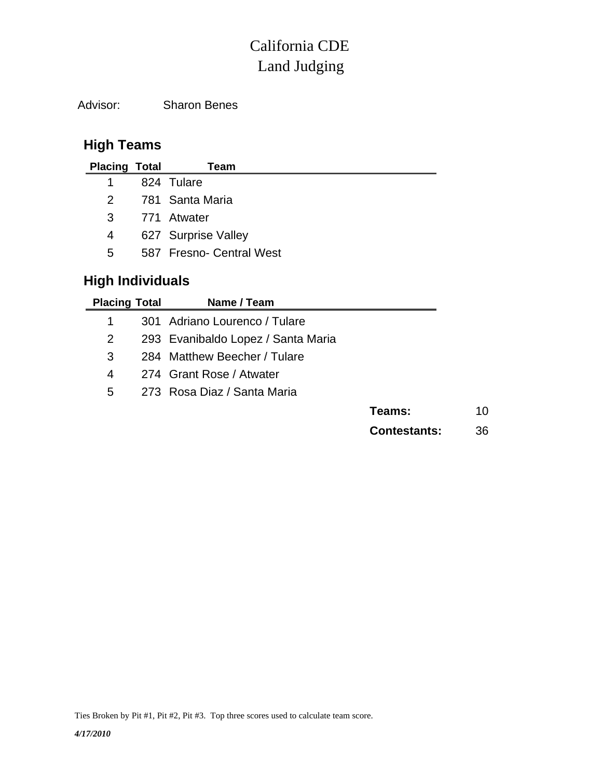## Land Judging California CDE

Advisor: Sharon Benes

## **High Teams**

| <b>Placing Total</b> |                         | Team                     |  |  |  |  |
|----------------------|-------------------------|--------------------------|--|--|--|--|
| 1                    |                         | 824 Tulare               |  |  |  |  |
| $\mathcal{P}$        |                         | 781 Santa Maria          |  |  |  |  |
| 3                    |                         | 771 Atwater              |  |  |  |  |
| 4                    |                         | 627 Surprise Valley      |  |  |  |  |
| 5.                   |                         | 587 Fresno- Central West |  |  |  |  |
|                      | <b>High Individuals</b> |                          |  |  |  |  |

| <b>Placing Total</b>  |                               | Name / Team                        |                     |    |
|-----------------------|-------------------------------|------------------------------------|---------------------|----|
| 1                     | 301 Adriano Lourenco / Tulare |                                    |                     |    |
| $\mathbf{2}^{\prime}$ |                               | 293 Evanibaldo Lopez / Santa Maria |                     |    |
| 3                     |                               | 284 Matthew Beecher / Tulare       |                     |    |
| 4                     |                               | 274 Grant Rose / Atwater           |                     |    |
| 5                     |                               | 273 Rosa Diaz / Santa Maria        |                     |    |
|                       |                               |                                    | Teams:              | 10 |
|                       |                               |                                    | <b>Contestants:</b> | 36 |

Ties Broken by Pit #1, Pit #2, Pit #3. Top three scores used to calculate team score.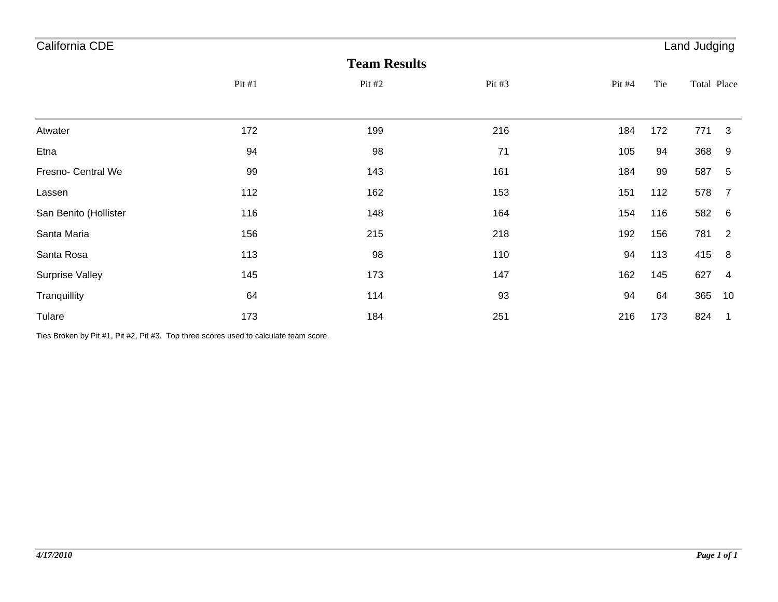| California CDE<br>Land Judging |       |          |          |        |     |             |                 |  |  |
|--------------------------------|-------|----------|----------|--------|-----|-------------|-----------------|--|--|
| <b>Team Results</b>            |       |          |          |        |     |             |                 |  |  |
|                                | Pit#1 | Pit $#2$ | Pit $#3$ | Pit #4 | Tie | Total Place |                 |  |  |
|                                |       |          |          |        |     |             |                 |  |  |
| Atwater                        | 172   | 199      | 216      | 184    | 172 | 771         | 3               |  |  |
| Etna                           | 94    | 98       | 71       | 105    | 94  | 368         | 9               |  |  |
| Fresno- Central We             | 99    | 143      | 161      | 184    | 99  | 587         | 5               |  |  |
| Lassen                         | 112   | 162      | 153      | 151    | 112 | 578         | $\overline{7}$  |  |  |
| San Benito (Hollister          | 116   | 148      | 164      | 154    | 116 | 582         | $6\overline{6}$ |  |  |
| Santa Maria                    | 156   | 215      | 218      | 192    | 156 | 781         | $\overline{2}$  |  |  |
| Santa Rosa                     | 113   | 98       | 110      | 94     | 113 | 415         | 8               |  |  |
| <b>Surprise Valley</b>         | 145   | 173      | 147      | 162    | 145 | 627         | $\overline{4}$  |  |  |
| Tranquillity                   | 64    | 114      | 93       | 94     | 64  | 365         | 10              |  |  |
| Tulare                         | 173   | 184      | 251      | 216    | 173 | 824         | -1              |  |  |

Ties Broken by Pit #1, Pit #2, Pit #3. Top three scores used to calculate team score.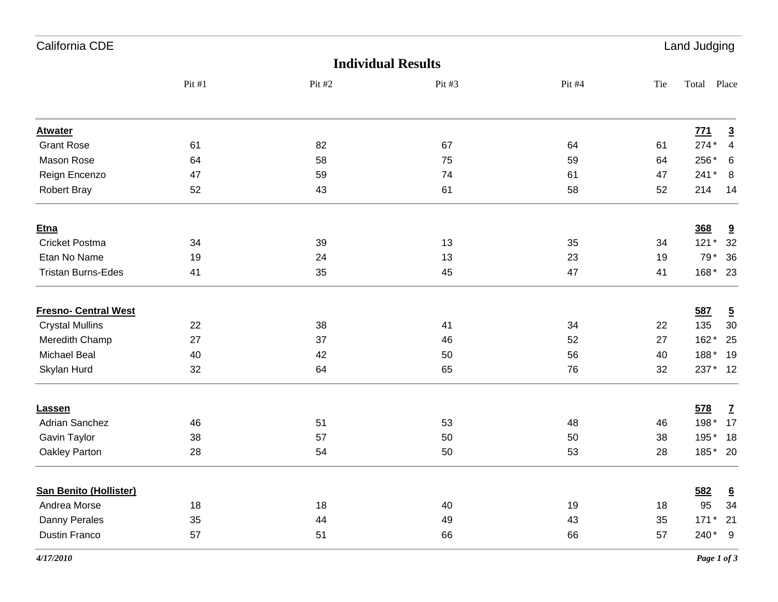| California CDE                |        |        |                           |        |     | Land Judging |                         |  |  |
|-------------------------------|--------|--------|---------------------------|--------|-----|--------------|-------------------------|--|--|
|                               |        |        | <b>Individual Results</b> |        |     |              |                         |  |  |
|                               | Pit #1 | Pit #2 | Pit #3                    | Pit #4 | Tie | Total        | Place                   |  |  |
| <b>Atwater</b>                |        |        |                           |        |     | 771          | $\overline{3}$          |  |  |
| <b>Grant Rose</b>             | 61     | 82     | 67                        | 64     | 61  | $274*$       | $\overline{\mathbf{4}}$ |  |  |
| <b>Mason Rose</b>             | 64     | 58     | 75                        | 59     | 64  | 256*         | 6                       |  |  |
| Reign Encenzo                 | 47     | 59     | 74                        | 61     | 47  | $241*$       | 8                       |  |  |
| Robert Bray                   | 52     | 43     | 61                        | 58     | 52  | 214          | 14                      |  |  |
| <b>Etna</b>                   |        |        |                           |        |     | 368          | 9                       |  |  |
| Cricket Postma                | 34     | 39     | 13                        | 35     | 34  | $121*$       | 32                      |  |  |
| Etan No Name                  | 19     | 24     | 13                        | 23     | 19  | 79*          | 36                      |  |  |
| <b>Tristan Burns-Edes</b>     | 41     | 35     | 45                        | 47     | 41  | 168*         | 23                      |  |  |
| <b>Fresno- Central West</b>   |        |        |                           |        |     | 587          | $\overline{5}$          |  |  |
| <b>Crystal Mullins</b>        | 22     | 38     | 41                        | 34     | 22  | 135          | 30                      |  |  |
| Meredith Champ                | 27     | 37     | 46                        | 52     | 27  | $162*$       | 25                      |  |  |
| <b>Michael Beal</b>           | 40     | 42     | 50                        | 56     | 40  | 188*         | 19                      |  |  |
| Skylan Hurd                   | 32     | 64     | 65                        | 76     | 32  | $237*$       | 12                      |  |  |
| Lassen                        |        |        |                           |        |     | 578          | $\mathbf{Z}$            |  |  |
| <b>Adrian Sanchez</b>         | 46     | 51     | 53                        | 48     | 46  | 198*         | 17                      |  |  |
| Gavin Taylor                  | 38     | 57     | 50                        | 50     | 38  | 195*         | 18                      |  |  |
| Oakley Parton                 | 28     | 54     | 50                        | 53     | 28  | 185*         | 20                      |  |  |
| <b>San Benito (Hollister)</b> |        |        |                           |        |     | 582          | $6\overline{6}$         |  |  |
| Andrea Morse                  | 18     | 18     | 40                        | 19     | 18  | 95           | 34                      |  |  |
| Danny Perales                 | 35     | 44     | 49                        | 43     | 35  | $171*$       | 21                      |  |  |
| <b>Dustin Franco</b>          | 57     | 51     | 66                        | 66     | 57  | 240*         | 9                       |  |  |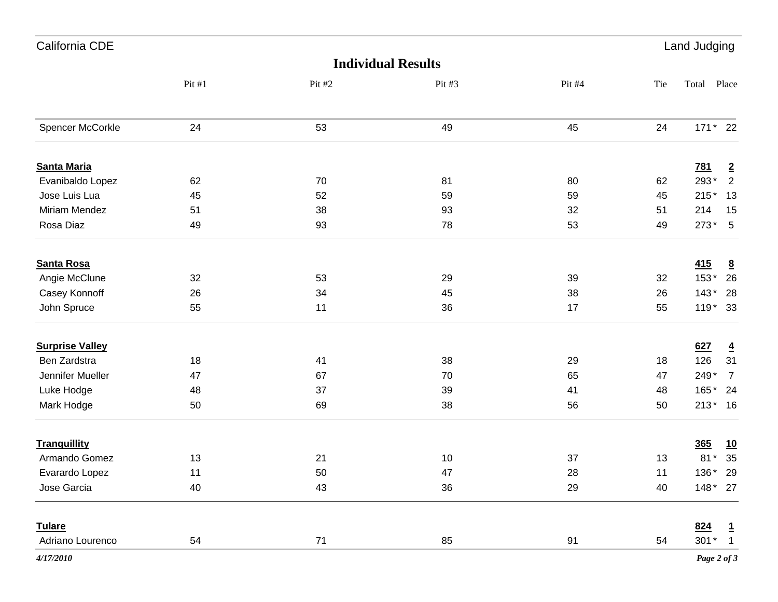| California CDE         |        |        |                           |        |      | Land Judging    |                 |
|------------------------|--------|--------|---------------------------|--------|------|-----------------|-----------------|
|                        |        |        | <b>Individual Results</b> |        |      |                 |                 |
|                        | Pit #1 | Pit #2 | Pit #3                    | Pit #4 | Tie  | Total Place     |                 |
| Spencer McCorkle       | 24     | 53     | 49                        | 45     | 24   | 171 * 22        |                 |
| <b>Santa Maria</b>     |        |        |                           |        |      | <u>781</u>      | $\overline{2}$  |
| Evanibaldo Lopez       | 62     | 70     | 81                        | 80     | 62   | 293*            | $\sqrt{2}$      |
| Jose Luis Lua          | 45     | 52     | 59                        | 59     | 45   | $215*$          | 13              |
| Miriam Mendez          | 51     | 38     | 93                        | 32     | 51   | 214             | 15              |
| Rosa Diaz              | 49     | 93     | 78                        | 53     | 49   | $273*5$         |                 |
| <b>Santa Rosa</b>      |        |        |                           |        |      | 415             | $\underline{8}$ |
| Angie McClune          | 32     | 53     | 29                        | 39     | 32   | 153*            | 26              |
| Casey Konnoff          | 26     | 34     | 45                        | 38     | 26   | $143*$          | 28              |
| John Spruce            | 55     | 11     | 36                        | 17     | 55   | 119 * 33        |                 |
| <b>Surprise Valley</b> |        |        |                           |        |      | 627             | $\overline{4}$  |
| Ben Zardstra           | 18     | 41     | 38                        | 29     | 18   | 126             | 31              |
| Jennifer Mueller       | 47     | 67     | 70                        | 65     | 47   | 249*            | $\overline{7}$  |
| Luke Hodge             | 48     | 37     | 39                        | 41     | 48   | 165* 24         |                 |
| Mark Hodge             | 50     | 69     | 38                        | 56     | 50   | 213* 16         |                 |
| <b>Tranquillity</b>    |        |        |                           |        |      | 365             | <u>10</u>       |
| Armando Gomez          | 13     | 21     | 10                        | 37     | 13   | $81*$           | 35              |
| Evarardo Lopez         | 11     | 50     | 47                        | 28     | $11$ | $136*29$        |                 |
| Jose Garcia            | 40     | 43     | 36                        | 29     | 40   | 148 * 27        |                 |
| <b>Tulare</b>          |        |        |                           |        |      | 824             | $\overline{1}$  |
| Adriano Lourenco       | 54     | 71     | 85                        | 91     | 54   | $301*$          | $\overline{1}$  |
| 4/17/2010              |        |        |                           |        |      | Page $2$ of $3$ |                 |